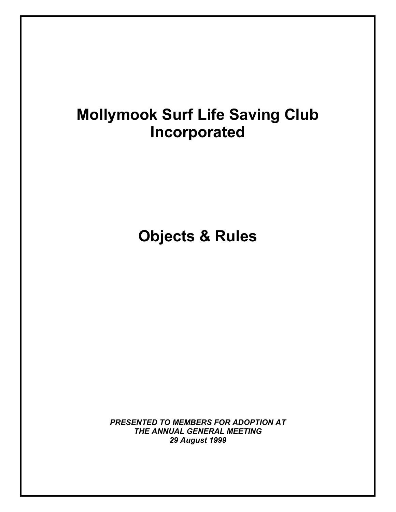# **Mollymook Surf Life Saving Club Incorporated**

**Objects & Rules** 

*PRESENTED TO MEMBERS FOR ADOPTION AT THE ANNUAL GENERAL MEETING 29 August 1999*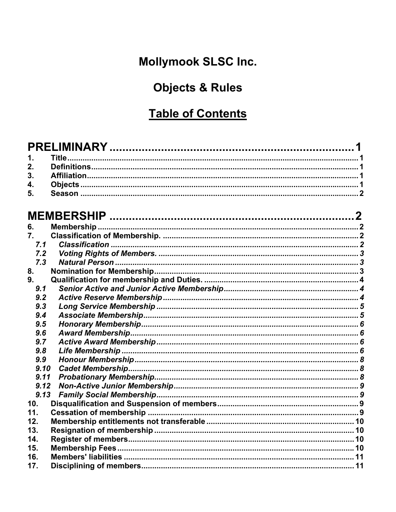# Mollymook SLSC Inc.

# **Objects & Rules**

## **Table of Contents**

## 

| 6.   |  |
|------|--|
| 7.   |  |
| 7.1  |  |
| 7.2  |  |
| 7,3  |  |
| 8.   |  |
| 9.   |  |
| 9.1  |  |
| 9.2  |  |
| 9.3  |  |
| 9.4  |  |
| 9.5  |  |
| 9.6  |  |
| 9.7  |  |
| 9.8  |  |
| 9.9  |  |
| 9.10 |  |
| 9.11 |  |
| 9.12 |  |
| 9.13 |  |
| 10.  |  |
| 11.  |  |
| 12.  |  |
| 13.  |  |
| 14.  |  |
| 15.  |  |
| 16.  |  |
| 17.  |  |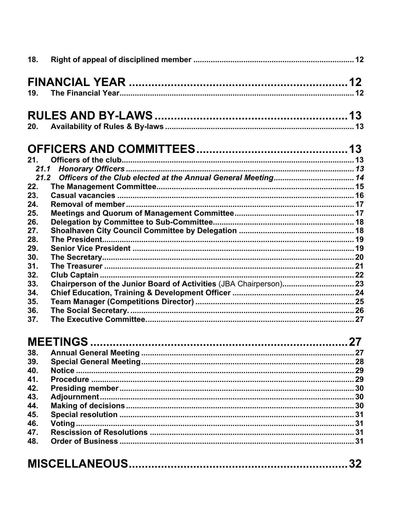| 18.        |                  |  |  |
|------------|------------------|--|--|
|            |                  |  |  |
| 19.        |                  |  |  |
|            |                  |  |  |
|            |                  |  |  |
| 20.        |                  |  |  |
|            |                  |  |  |
|            |                  |  |  |
| 21.        |                  |  |  |
|            |                  |  |  |
| 21.2       |                  |  |  |
| 22.        |                  |  |  |
| 23.        |                  |  |  |
| 24.        |                  |  |  |
| 25.        |                  |  |  |
| 26.        |                  |  |  |
| 27.        |                  |  |  |
| 28.        |                  |  |  |
| 29.        |                  |  |  |
| 30.<br>31. |                  |  |  |
| 32.        |                  |  |  |
| 33.        |                  |  |  |
| 34.        |                  |  |  |
| 35.        |                  |  |  |
| 36.        |                  |  |  |
| 37.        |                  |  |  |
|            |                  |  |  |
|            | <b>MEETINGS </b> |  |  |
| 38.        |                  |  |  |
| 39.        |                  |  |  |
| 40.        |                  |  |  |
| 41.        |                  |  |  |
| 42.        |                  |  |  |
| 43.        |                  |  |  |
| 44.        |                  |  |  |
| 45.        |                  |  |  |
| 46.        |                  |  |  |
| 47.        |                  |  |  |
| 48.        |                  |  |  |
|            |                  |  |  |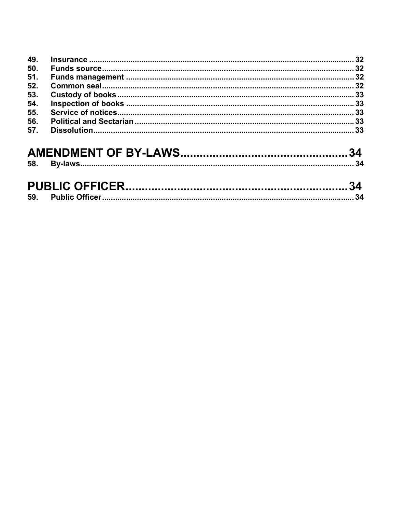| 53. |  |
|-----|--|
|     |  |
| 55. |  |
| 56. |  |
|     |  |
|     |  |

| 59. |  |
|-----|--|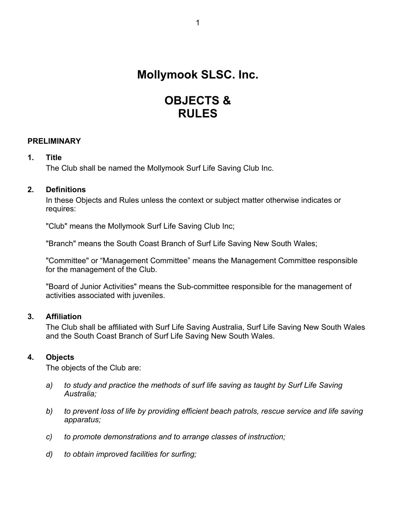## **Mollymook SLSC. Inc.**

## **OBJECTS & RULES**

## <span id="page-4-0"></span>**PRELIMINARY**

## **1. Title**

The Club shall be named the Mollymook Surf Life Saving Club Inc.

## **2. Definitions**

In these Objects and Rules unless the context or subject matter otherwise indicates or requires:

"Club" means the Mollymook Surf Life Saving Club Inc;

"Branch" means the South Coast Branch of Surf Life Saving New South Wales;

"Committee" or "Management Committee" means the Management Committee responsible for the management of the Club.

"Board of Junior Activities" means the Sub-committee responsible for the management of activities associated with juveniles.

## **3. Affiliation**

The Club shall be affiliated with Surf Life Saving Australia, Surf Life Saving New South Wales and the South Coast Branch of Surf Life Saving New South Wales.

## **4. Objects**

The objects of the Club are:

- *a) to study and practice the methods of surf life saving as taught by Surf Life Saving Australia;*
- *b) to prevent loss of life by providing efficient beach patrols, rescue service and life saving apparatus;*
- *c) to promote demonstrations and to arrange classes of instruction;*
- *d) to obtain improved facilities for surfing;*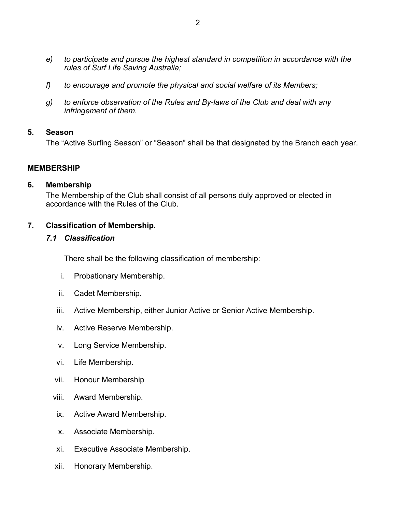- <span id="page-5-0"></span>*e) to participate and pursue the highest standard in competition in accordance with the rules of Surf Life Saving Australia;*
- *f) to encourage and promote the physical and social welfare of its Members;*
- *g) to enforce observation of the Rules and By-laws of the Club and deal with any infringement of them.*

## **5. Season**

The "Active Surfing Season" or "Season" shall be that designated by the Branch each year.

## **MEMBERSHIP**

## **6. Membership**

The Membership of the Club shall consist of all persons duly approved or elected in accordance with the Rules of the Club.

## **7. Classification of Membership.**

## *7.1 Classification*

There shall be the following classification of membership:

- i. Probationary Membership.
- ii. Cadet Membership.
- iii. Active Membership, either Junior Active or Senior Active Membership.
- iv. Active Reserve Membership.
- v. Long Service Membership.
- vi. Life Membership.
- vii. Honour Membership
- viii. Award Membership.
- ix. Active Award Membership.
- x. Associate Membership.
- xi. Executive Associate Membership.
- xii. Honorary Membership.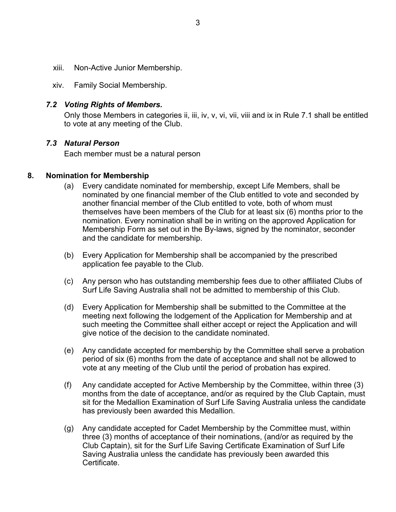- <span id="page-6-0"></span>xiii. Non-Active Junior Membership.
- xiv. Family Social Membership.

## *7.2 Voting Rights of Members.*

Only those Members in categories ii, iii, iv, v, vi, vii, viii and ix in Rule 7.1 shall be entitled to vote at any meeting of the Club.

## *7.3 Natural Person*

Each member must be a natural person

## **8. Nomination for Membership**

- (a) Every candidate nominated for membership, except Life Members, shall be nominated by one financial member of the Club entitled to vote and seconded by another financial member of the Club entitled to vote, both of whom must themselves have been members of the Club for at least six (6) months prior to the nomination. Every nomination shall be in writing on the approved Application for Membership Form as set out in the By-laws, signed by the nominator, seconder and the candidate for membership.
- (b) Every Application for Membership shall be accompanied by the prescribed application fee payable to the Club.
- (c) Any person who has outstanding membership fees due to other affiliated Clubs of Surf Life Saving Australia shall not be admitted to membership of this Club.
- (d) Every Application for Membership shall be submitted to the Committee at the meeting next following the lodgement of the Application for Membership and at such meeting the Committee shall either accept or reject the Application and will give notice of the decision to the candidate nominated.
- (e) Any candidate accepted for membership by the Committee shall serve a probation period of six (6) months from the date of acceptance and shall not be allowed to vote at any meeting of the Club until the period of probation has expired.
- (f) Any candidate accepted for Active Membership by the Committee, within three (3) months from the date of acceptance, and/or as required by the Club Captain, must sit for the Medallion Examination of Surf Life Saving Australia unless the candidate has previously been awarded this Medallion.
- (g) Any candidate accepted for Cadet Membership by the Committee must, within three (3) months of acceptance of their nominations, (and/or as required by the Club Captain), sit for the Surf Life Saving Certificate Examination of Surf Life Saving Australia unless the candidate has previously been awarded this Certificate.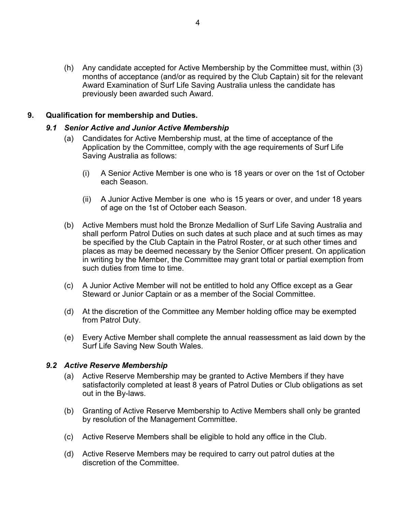<span id="page-7-0"></span>(h) Any candidate accepted for Active Membership by the Committee must, within (3) months of acceptance (and/or as required by the Club Captain) sit for the relevant Award Examination of Surf Life Saving Australia unless the candidate has previously been awarded such Award.

## **9. Qualification for membership and Duties.**

## *9.1 Senior Active and Junior Active Membership*

- (a) Candidates for Active Membership must, at the time of acceptance of the Application by the Committee, comply with the age requirements of Surf Life Saving Australia as follows:
	- (i) A Senior Active Member is one who is 18 years or over on the 1st of October each Season.
	- (ii) A Junior Active Member is one who is 15 years or over, and under 18 years of age on the 1st of October each Season.
- (b) Active Members must hold the Bronze Medallion of Surf Life Saving Australia and shall perform Patrol Duties on such dates at such place and at such times as may be specified by the Club Captain in the Patrol Roster, or at such other times and places as may be deemed necessary by the Senior Officer present. On application in writing by the Member, the Committee may grant total or partial exemption from such duties from time to time.
- (c) A Junior Active Member will not be entitled to hold any Office except as a Gear Steward or Junior Captain or as a member of the Social Committee.
- (d) At the discretion of the Committee any Member holding office may be exempted from Patrol Duty.
- (e) Every Active Member shall complete the annual reassessment as laid down by the Surf Life Saving New South Wales.

## *9.2 Active Reserve Membership*

- (a) Active Reserve Membership may be granted to Active Members if they have satisfactorily completed at least 8 years of Patrol Duties or Club obligations as set out in the By-laws.
- (b) Granting of Active Reserve Membership to Active Members shall only be granted by resolution of the Management Committee.
- (c) Active Reserve Members shall be eligible to hold any office in the Club.
- (d) Active Reserve Members may be required to carry out patrol duties at the discretion of the Committee.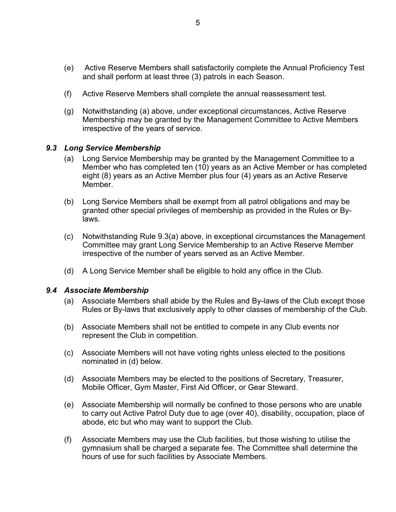- <span id="page-8-0"></span>(e) Active Reserve Members shall satisfactorily complete the Annual Proficiency Test and shall perform at least three (3) patrols in each Season.
- (f) Active Reserve Members shall complete the annual reassessment test.
- (g) Notwithstanding (a) above, under exceptional circumstances, Active Reserve Membership may be granted by the Management Committee to Active Members irrespective of the years of service.

## *9.3 Long Service Membership*

- (a) Long Service Membership may be granted by the Management Committee to a Member who has completed ten (10) years as an Active Member or has completed eight (8) years as an Active Member plus four (4) years as an Active Reserve Member.
- (b) Long Service Members shall be exempt from all patrol obligations and may be granted other special privileges of membership as provided in the Rules or Bylaws.
- (c) Notwithstanding Rule 9.3(a) above, in exceptional circumstances the Management Committee may grant Long Service Membership to an Active Reserve Member irrespective of the number of years served as an Active Member.
- (d) A Long Service Member shall be eligible to hold any office in the Club.

#### *9.4 Associate Membership*

- (a) Associate Members shall abide by the Rules and By-laws of the Club except those Rules or By-laws that exclusively apply to other classes of membership of the Club.
- (b) Associate Members shall not be entitled to compete in any Club events nor represent the Club in competition.
- (c) Associate Members will not have voting rights unless elected to the positions nominated in (d) below.
- (d) Associate Members may be elected to the positions of Secretary, Treasurer, Mobile Officer, Gym Master, First Aid Officer, or Gear Steward.
- (e) Associate Membership will normally be confined to those persons who are unable to carry out Active Patrol Duty due to age (over 40), disability, occupation, place of abode, etc but who may want to support the Club.
- (f) Associate Members may use the Club facilities, but those wishing to utilise the gymnasium shall be charged a separate fee. The Committee shall determine the hours of use for such facilities by Associate Members.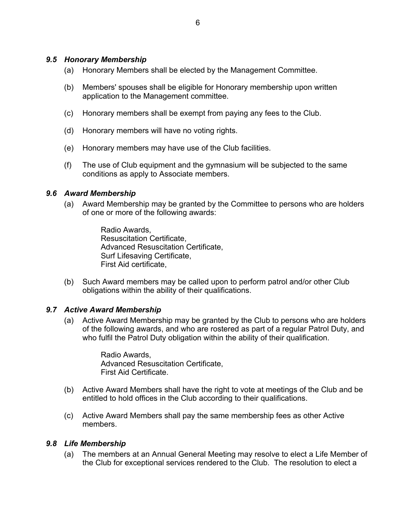## <span id="page-9-0"></span>*9.5 Honorary Membership*

- (a) Honorary Members shall be elected by the Management Committee.
- (b) Members' spouses shall be eligible for Honorary membership upon written application to the Management committee.
- (c) Honorary members shall be exempt from paying any fees to the Club.
- (d) Honorary members will have no voting rights.
- (e) Honorary members may have use of the Club facilities.
- (f) The use of Club equipment and the gymnasium will be subjected to the same conditions as apply to Associate members.

## *9.6 Award Membership*

(a) Award Membership may be granted by the Committee to persons who are holders of one or more of the following awards:

> Radio Awards, Resuscitation Certificate, Advanced Resuscitation Certificate, Surf Lifesaving Certificate, First Aid certificate,

(b) Such Award members may be called upon to perform patrol and/or other Club obligations within the ability of their qualifications.

## *9.7 Active Award Membership*

(a) Active Award Membership may be granted by the Club to persons who are holders of the following awards, and who are rostered as part of a regular Patrol Duty, and who fulfil the Patrol Duty obligation within the ability of their qualification.

> Radio Awards, Advanced Resuscitation Certificate, First Aid Certificate.

- (b) Active Award Members shall have the right to vote at meetings of the Club and be entitled to hold offices in the Club according to their qualifications.
- (c) Active Award Members shall pay the same membership fees as other Active members.

## *9.8 Life Membership*

(a) The members at an Annual General Meeting may resolve to elect a Life Member of the Club for exceptional services rendered to the Club. The resolution to elect a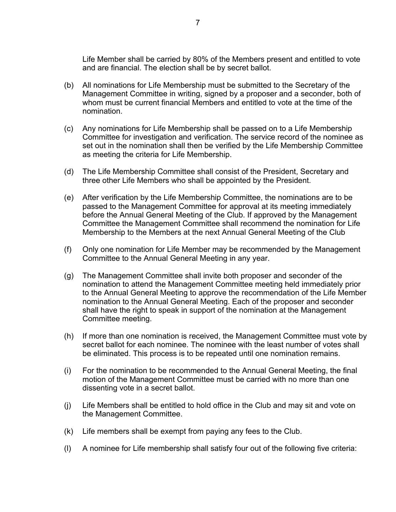Life Member shall be carried by 80% of the Members present and entitled to vote and are financial. The election shall be by secret ballot.

- (b) All nominations for Life Membership must be submitted to the Secretary of the Management Committee in writing, signed by a proposer and a seconder, both of whom must be current financial Members and entitled to vote at the time of the nomination.
- (c) Any nominations for Life Membership shall be passed on to a Life Membership Committee for investigation and verification. The service record of the nominee as set out in the nomination shall then be verified by the Life Membership Committee as meeting the criteria for Life Membership.
- (d) The Life Membership Committee shall consist of the President, Secretary and three other Life Members who shall be appointed by the President.
- (e) After verification by the Life Membership Committee, the nominations are to be passed to the Management Committee for approval at its meeting immediately before the Annual General Meeting of the Club. If approved by the Management Committee the Management Committee shall recommend the nomination for Life Membership to the Members at the next Annual General Meeting of the Club
- (f) Only one nomination for Life Member may be recommended by the Management Committee to the Annual General Meeting in any year.
- (g) The Management Committee shall invite both proposer and seconder of the nomination to attend the Management Committee meeting held immediately prior to the Annual General Meeting to approve the recommendation of the Life Member nomination to the Annual General Meeting. Each of the proposer and seconder shall have the right to speak in support of the nomination at the Management Committee meeting.
- (h) If more than one nomination is received, the Management Committee must vote by secret ballot for each nominee. The nominee with the least number of votes shall be eliminated. This process is to be repeated until one nomination remains.
- (i) For the nomination to be recommended to the Annual General Meeting, the final motion of the Management Committee must be carried with no more than one dissenting vote in a secret ballot.
- (j) Life Members shall be entitled to hold office in the Club and may sit and vote on the Management Committee.
- (k) Life members shall be exempt from paying any fees to the Club.
- (l) A nominee for Life membership shall satisfy four out of the following five criteria: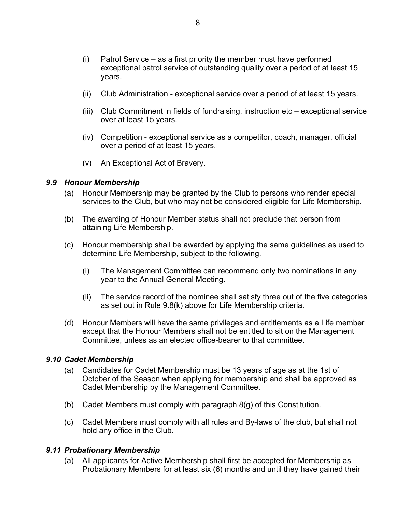- <span id="page-11-0"></span>(i) Patrol Service – as a first priority the member must have performed exceptional patrol service of outstanding quality over a period of at least 15 years.
- (ii) Club Administration exceptional service over a period of at least 15 years.
- (iii) Club Commitment in fields of fundraising, instruction etc exceptional service over at least 15 years.
- (iv) Competition exceptional service as a competitor, coach, manager, official over a period of at least 15 years.
- (v) An Exceptional Act of Bravery.

## *9.9 Honour Membership*

- (a) Honour Membership may be granted by the Club to persons who render special services to the Club, but who may not be considered eligible for Life Membership.
- (b) The awarding of Honour Member status shall not preclude that person from attaining Life Membership.
- (c) Honour membership shall be awarded by applying the same guidelines as used to determine Life Membership, subject to the following.
	- (i) The Management Committee can recommend only two nominations in any year to the Annual General Meeting.
	- (ii) The service record of the nominee shall satisfy three out of the five categories as set out in Rule 9.8(k) above for Life Membership criteria.
- (d) Honour Members will have the same privileges and entitlements as a Life member except that the Honour Members shall not be entitled to sit on the Management Committee, unless as an elected office-bearer to that committee.

## *9.10 Cadet Membership*

- (a) Candidates for Cadet Membership must be 13 years of age as at the 1st of October of the Season when applying for membership and shall be approved as Cadet Membership by the Management Committee.
- (b) Cadet Members must comply with paragraph 8(g) of this Constitution.
- (c) Cadet Members must comply with all rules and By-laws of the club, but shall not hold any office in the Club.

## *9.11 Probationary Membership*

(a) All applicants for Active Membership shall first be accepted for Membership as Probationary Members for at least six (6) months and until they have gained their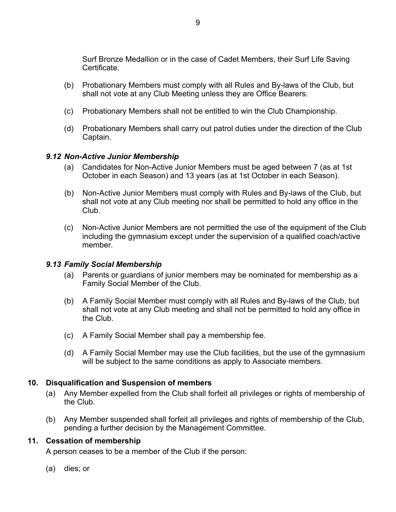<span id="page-12-0"></span>Surf Bronze Medallion or in the case of Cadet Members, their Surf Life Saving Certificate.

- (b) Probationary Members must comply with all Rules and By-laws of the Club, but shall not vote at any Club Meeting unless they are Office Bearers.
- (c) Probationary Members shall not be entitled to win the Club Championship.
- (d) Probationary Members shall carry out patrol duties under the direction of the Club Captain.

## *9.12 Non-Active Junior Membership*

- (a) Candidates for Non-Active Junior Members must be aged between 7 (as at 1st October in each Season) and 13 years (as at 1st October in each Season).
- (b) Non-Active Junior Members must comply with Rules and By-laws of the Club, but shall not vote at any Club meeting nor shall be permitted to hold any office in the Club.
- (c) Non-Active Junior Members are not permitted the use of the equipment of the Club including the gymnasium except under the supervision of a qualified coach/active member.

## *9.13 Family Social Membership*

- (a) Parents or guardians of junior members may be nominated for membership as a Family Social Member of the Club.
- (b) A Family Social Member must comply with all Rules and By-laws of the Club, but shall not vote at any Club meeting and shall not be permitted to hold any office in the Club.
- (c) A Family Social Member shall pay a membership fee.
- (d) A Family Social Member may use the Club facilities, but the use of the gymnasium will be subject to the same conditions as apply to Associate members.

## **10. Disqualification and Suspension of members**

- (a) Any Member expelled from the Club shall forfeit all privileges or rights of membership of the Club.
- (b) Any Member suspended shall forfeit all privileges and rights of membership of the Club, pending a further decision by the Management Committee.

## **11. Cessation of membership**

A person ceases to be a member of the Club if the person:

(a) dies; or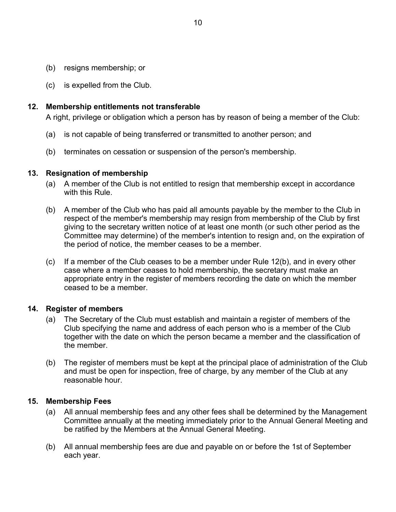- <span id="page-13-0"></span>(b) resigns membership; or
- (c) is expelled from the Club.

## **12. Membership entitlements not transferable**

A right, privilege or obligation which a person has by reason of being a member of the Club:

- (a) is not capable of being transferred or transmitted to another person; and
- (b) terminates on cessation or suspension of the person's membership.

## **13. Resignation of membership**

- (a) A member of the Club is not entitled to resign that membership except in accordance with this Rule.
- (b) A member of the Club who has paid all amounts payable by the member to the Club in respect of the member's membership may resign from membership of the Club by first giving to the secretary written notice of at least one month (or such other period as the Committee may determine) of the member's intention to resign and, on the expiration of the period of notice, the member ceases to be a member.
- (c) If a member of the Club ceases to be a member under Rule 12(b), and in every other case where a member ceases to hold membership, the secretary must make an appropriate entry in the register of members recording the date on which the member ceased to be a member.

## **14. Register of members**

- (a) The Secretary of the Club must establish and maintain a register of members of the Club specifying the name and address of each person who is a member of the Club together with the date on which the person became a member and the classification of the member.
- (b) The register of members must be kept at the principal place of administration of the Club and must be open for inspection, free of charge, by any member of the Club at any reasonable hour.

## **15. Membership Fees**

- (a) All annual membership fees and any other fees shall be determined by the Management Committee annually at the meeting immediately prior to the Annual General Meeting and be ratified by the Members at the Annual General Meeting.
- (b) All annual membership fees are due and payable on or before the 1st of September each year.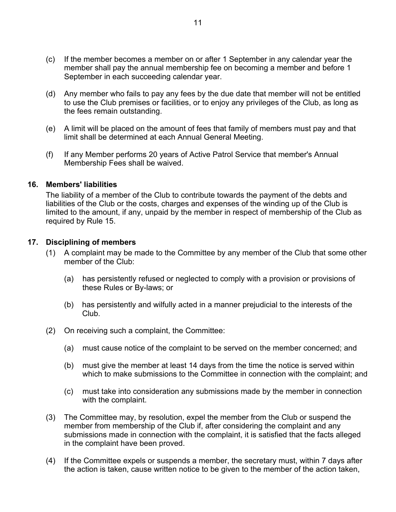- <span id="page-14-0"></span>(c) If the member becomes a member on or after 1 September in any calendar year the member shall pay the annual membership fee on becoming a member and before 1 September in each succeeding calendar year.
- (d) Any member who fails to pay any fees by the due date that member will not be entitled to use the Club premises or facilities, or to enjoy any privileges of the Club, as long as the fees remain outstanding.
- (e) A limit will be placed on the amount of fees that family of members must pay and that limit shall be determined at each Annual General Meeting.
- (f) If any Member performs 20 years of Active Patrol Service that member's Annual Membership Fees shall be waived.

#### **16. Members' liabilities**

The liability of a member of the Club to contribute towards the payment of the debts and liabilities of the Club or the costs, charges and expenses of the winding up of the Club is limited to the amount, if any, unpaid by the member in respect of membership of the Club as required by Rule 15.

## **17. Disciplining of members**

- (1) A complaint may be made to the Committee by any member of the Club that some other member of the Club:
	- (a) has persistently refused or neglected to comply with a provision or provisions of these Rules or By-laws; or
	- (b) has persistently and wilfully acted in a manner prejudicial to the interests of the Club.
- (2) On receiving such a complaint, the Committee:
	- (a) must cause notice of the complaint to be served on the member concerned; and
	- (b) must give the member at least 14 days from the time the notice is served within which to make submissions to the Committee in connection with the complaint; and
	- (c) must take into consideration any submissions made by the member in connection with the complaint.
- (3) The Committee may, by resolution, expel the member from the Club or suspend the member from membership of the Club if, after considering the complaint and any submissions made in connection with the complaint, it is satisfied that the facts alleged in the complaint have been proved.
- (4) If the Committee expels or suspends a member, the secretary must, within 7 days after the action is taken, cause written notice to be given to the member of the action taken,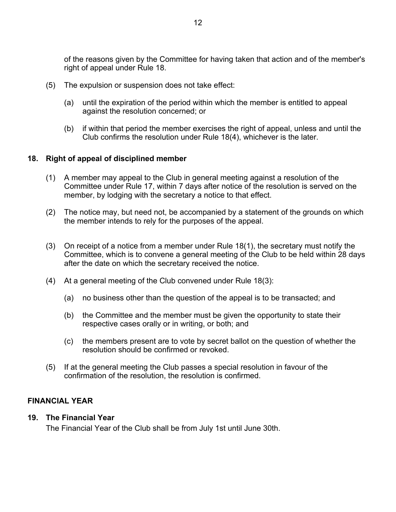<span id="page-15-0"></span>of the reasons given by the Committee for having taken that action and of the member's right of appeal under Rule 18.

- (5) The expulsion or suspension does not take effect:
	- (a) until the expiration of the period within which the member is entitled to appeal against the resolution concerned; or
	- (b) if within that period the member exercises the right of appeal, unless and until the Club confirms the resolution under Rule 18(4), whichever is the later.

## **18. Right of appeal of disciplined member**

- (1) A member may appeal to the Club in general meeting against a resolution of the Committee under Rule 17, within 7 days after notice of the resolution is served on the member, by lodging with the secretary a notice to that effect.
- (2) The notice may, but need not, be accompanied by a statement of the grounds on which the member intends to rely for the purposes of the appeal.
- (3) On receipt of a notice from a member under Rule 18(1), the secretary must notify the Committee, which is to convene a general meeting of the Club to be held within 28 days after the date on which the secretary received the notice.
- (4) At a general meeting of the Club convened under Rule 18(3):
	- (a) no business other than the question of the appeal is to be transacted; and
	- (b) the Committee and the member must be given the opportunity to state their respective cases orally or in writing, or both; and
	- (c) the members present are to vote by secret ballot on the question of whether the resolution should be confirmed or revoked.
- (5) If at the general meeting the Club passes a special resolution in favour of the confirmation of the resolution, the resolution is confirmed.

## **FINANCIAL YEAR**

## **19. The Financial Year**

The Financial Year of the Club shall be from July 1st until June 30th.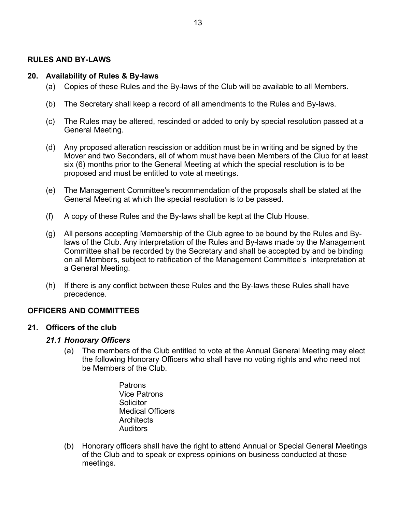## <span id="page-16-0"></span>**RULES AND BY-LAWS**

#### **20. Availability of Rules & By-laws**

- (a) Copies of these Rules and the By-laws of the Club will be available to all Members.
- (b) The Secretary shall keep a record of all amendments to the Rules and By-laws.
- (c) The Rules may be altered, rescinded or added to only by special resolution passed at a General Meeting.
- (d) Any proposed alteration rescission or addition must be in writing and be signed by the Mover and two Seconders, all of whom must have been Members of the Club for at least six (6) months prior to the General Meeting at which the special resolution is to be proposed and must be entitled to vote at meetings.
- (e) The Management Committee's recommendation of the proposals shall be stated at the General Meeting at which the special resolution is to be passed.
- (f) A copy of these Rules and the By-laws shall be kept at the Club House.
- (g) All persons accepting Membership of the Club agree to be bound by the Rules and Bylaws of the Club. Any interpretation of the Rules and By-laws made by the Management Committee shall be recorded by the Secretary and shall be accepted by and be binding on all Members, subject to ratification of the Management Committee's interpretation at a General Meeting.
- (h) If there is any conflict between these Rules and the By-laws these Rules shall have precedence.

## **OFFICERS AND COMMITTEES**

#### **21. Officers of the club**

#### *21.1 Honorary Officers*

- (a) The members of the Club entitled to vote at the Annual General Meeting may elect the following Honorary Officers who shall have no voting rights and who need not be Members of the Club.
	- Patrons Vice Patrons **Solicitor**  Medical Officers **Architects** Auditors
- (b) Honorary officers shall have the right to attend Annual or Special General Meetings of the Club and to speak or express opinions on business conducted at those meetings.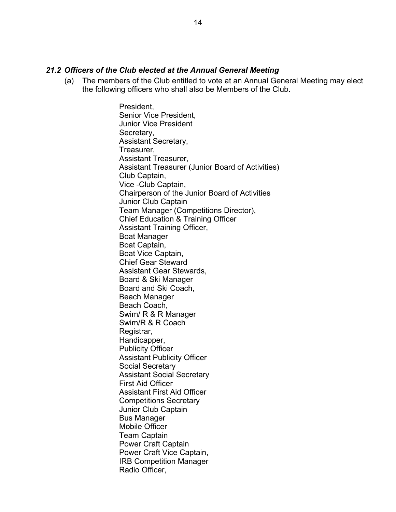## <span id="page-17-0"></span>*21.2 Officers of the Club elected at the Annual General Meeting*

(a) The members of the Club entitled to vote at an Annual General Meeting may elect the following officers who shall also be Members of the Club.

> President, Senior Vice President, Junior Vice President Secretary, Assistant Secretary, Treasurer, Assistant Treasurer, Assistant Treasurer (Junior Board of Activities) Club Captain, Vice -Club Captain, Chairperson of the Junior Board of Activities Junior Club Captain Team Manager (Competitions Director), Chief Education & Training Officer Assistant Training Officer, Boat Manager Boat Captain, Boat Vice Captain, Chief Gear Steward Assistant Gear Stewards, Board & Ski Manager Board and Ski Coach, Beach Manager Beach Coach, Swim/ R & R Manager Swim/R & R Coach Registrar, Handicapper, Publicity Officer Assistant Publicity Officer Social Secretary Assistant Social Secretary First Aid Officer Assistant First Aid Officer Competitions Secretary Junior Club Captain Bus Manager Mobile Officer Team Captain Power Craft Captain Power Craft Vice Captain, IRB Competition Manager Radio Officer,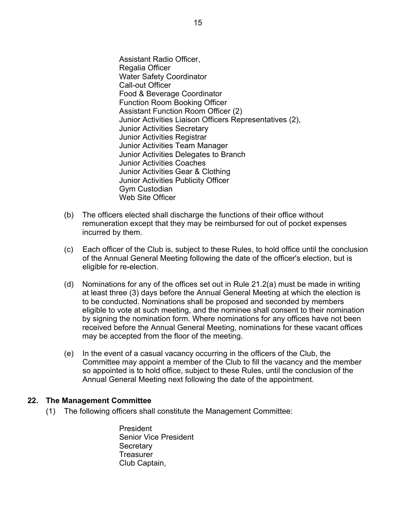<span id="page-18-0"></span> Assistant Radio Officer, Regalia Officer Water Safety Coordinator Call-out Officer Food & Beverage Coordinator Function Room Booking Officer Assistant Function Room Officer (2) Junior Activities Liaison Officers Representatives (2), Junior Activities Secretary Junior Activities Registrar Junior Activities Team Manager Junior Activities Delegates to Branch Junior Activities Coaches Junior Activities Gear & Clothing Junior Activities Publicity Officer Gym Custodian Web Site Officer

- (b) The officers elected shall discharge the functions of their office without remuneration except that they may be reimbursed for out of pocket expenses incurred by them.
- (c) Each officer of the Club is, subject to these Rules, to hold office until the conclusion of the Annual General Meeting following the date of the officer's election, but is eligible for re-election.
- (d) Nominations for any of the offices set out in Rule 21.2(a) must be made in writing at least three (3) days before the Annual General Meeting at which the election is to be conducted. Nominations shall be proposed and seconded by members eligible to vote at such meeting, and the nominee shall consent to their nomination by signing the nomination form. Where nominations for any offices have not been received before the Annual General Meeting, nominations for these vacant offices may be accepted from the floor of the meeting.
- (e) In the event of a casual vacancy occurring in the officers of the Club, the Committee may appoint a member of the Club to fill the vacancy and the member so appointed is to hold office, subject to these Rules, until the conclusion of the Annual General Meeting next following the date of the appointment.

#### **22. The Management Committee**

(1) The following officers shall constitute the Management Committee:

 President Senior Vice President **Secretary Treasurer** Club Captain,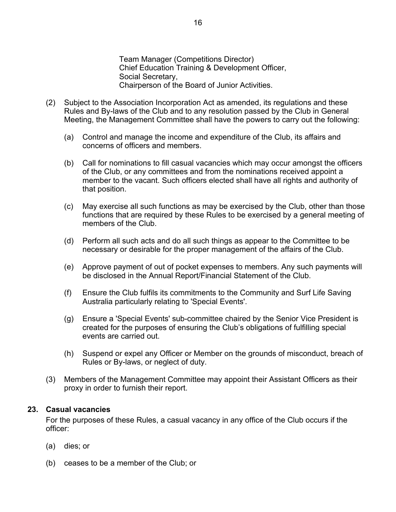Team Manager (Competitions Director) Chief Education Training & Development Officer, Social Secretary, Chairperson of the Board of Junior Activities.

- <span id="page-19-0"></span>(2) Subject to the Association Incorporation Act as amended, its regulations and these Rules and By-laws of the Club and to any resolution passed by the Club in General Meeting, the Management Committee shall have the powers to carry out the following:
	- (a) Control and manage the income and expenditure of the Club, its affairs and concerns of officers and members.
	- (b) Call for nominations to fill casual vacancies which may occur amongst the officers of the Club, or any committees and from the nominations received appoint a member to the vacant. Such officers elected shall have all rights and authority of that position.
	- (c) May exercise all such functions as may be exercised by the Club, other than those functions that are required by these Rules to be exercised by a general meeting of members of the Club.
	- (d) Perform all such acts and do all such things as appear to the Committee to be necessary or desirable for the proper management of the affairs of the Club.
	- (e) Approve payment of out of pocket expenses to members. Any such payments will be disclosed in the Annual Report/Financial Statement of the Club.
	- (f) Ensure the Club fulfils its commitments to the Community and Surf Life Saving Australia particularly relating to 'Special Events'.
	- (g) Ensure a 'Special Events' sub-committee chaired by the Senior Vice President is created for the purposes of ensuring the Club's obligations of fulfilling special events are carried out.
	- (h) Suspend or expel any Officer or Member on the grounds of misconduct, breach of Rules or By-laws, or neglect of duty.
- (3) Members of the Management Committee may appoint their Assistant Officers as their proxy in order to furnish their report.

#### **23. Casual vacancies**

For the purposes of these Rules, a casual vacancy in any office of the Club occurs if the officer:

- (a) dies; or
- (b) ceases to be a member of the Club; or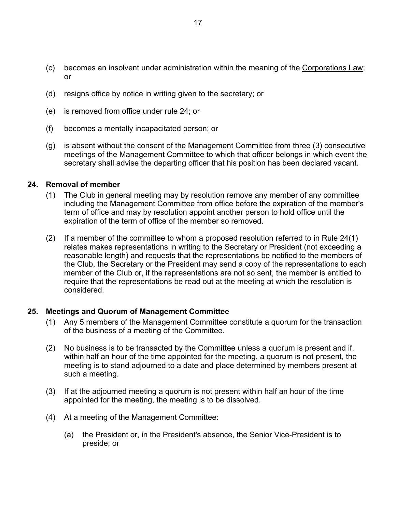- <span id="page-20-0"></span>(c) becomes an insolvent under administration within the meaning of the Corporations Law; or
- (d) resigns office by notice in writing given to the secretary; or
- (e) is removed from office under rule 24; or
- (f) becomes a mentally incapacitated person; or
- (g) is absent without the consent of the Management Committee from three (3) consecutive meetings of the Management Committee to which that officer belongs in which event the secretary shall advise the departing officer that his position has been declared vacant.

#### **24. Removal of member**

- (1) The Club in general meeting may by resolution remove any member of any committee including the Management Committee from office before the expiration of the member's term of office and may by resolution appoint another person to hold office until the expiration of the term of office of the member so removed.
- (2) If a member of the committee to whom a proposed resolution referred to in Rule 24(1) relates makes representations in writing to the Secretary or President (not exceeding a reasonable length) and requests that the representations be notified to the members of the Club, the Secretary or the President may send a copy of the representations to each member of the Club or, if the representations are not so sent, the member is entitled to require that the representations be read out at the meeting at which the resolution is considered.

#### **25. Meetings and Quorum of Management Committee**

- (1) Any 5 members of the Management Committee constitute a quorum for the transaction of the business of a meeting of the Committee.
- (2) No business is to be transacted by the Committee unless a quorum is present and if, within half an hour of the time appointed for the meeting, a quorum is not present, the meeting is to stand adjourned to a date and place determined by members present at such a meeting.
- (3) If at the adjourned meeting a quorum is not present within half an hour of the time appointed for the meeting, the meeting is to be dissolved.
- (4) At a meeting of the Management Committee:
	- (a) the President or, in the President's absence, the Senior Vice-President is to preside; or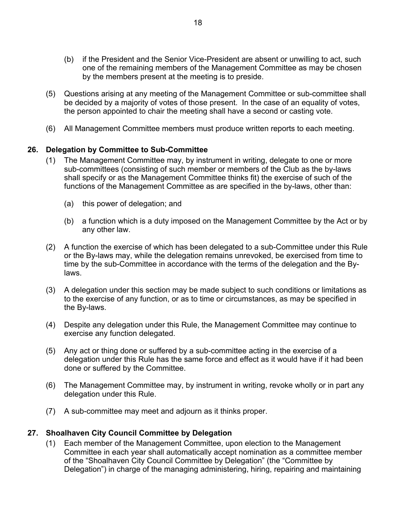- <span id="page-21-0"></span>(b) if the President and the Senior Vice-President are absent or unwilling to act, such one of the remaining members of the Management Committee as may be chosen by the members present at the meeting is to preside.
- (5) Questions arising at any meeting of the Management Committee or sub-committee shall be decided by a majority of votes of those present. In the case of an equality of votes, the person appointed to chair the meeting shall have a second or casting vote.
- (6) All Management Committee members must produce written reports to each meeting.

## **26. Delegation by Committee to Sub-Committee**

- (1) The Management Committee may, by instrument in writing, delegate to one or more sub-committees (consisting of such member or members of the Club as the by-laws shall specify or as the Management Committee thinks fit) the exercise of such of the functions of the Management Committee as are specified in the by-laws, other than:
	- (a) this power of delegation; and
	- (b) a function which is a duty imposed on the Management Committee by the Act or by any other law.
- (2) A function the exercise of which has been delegated to a sub-Committee under this Rule or the By-laws may, while the delegation remains unrevoked, be exercised from time to time by the sub-Committee in accordance with the terms of the delegation and the Bylaws.
- (3) A delegation under this section may be made subject to such conditions or limitations as to the exercise of any function, or as to time or circumstances, as may be specified in the By-laws.
- (4) Despite any delegation under this Rule, the Management Committee may continue to exercise any function delegated.
- (5) Any act or thing done or suffered by a sub-committee acting in the exercise of a delegation under this Rule has the same force and effect as it would have if it had been done or suffered by the Committee.
- (6) The Management Committee may, by instrument in writing, revoke wholly or in part any delegation under this Rule.
- (7) A sub-committee may meet and adjourn as it thinks proper.

## **27. Shoalhaven City Council Committee by Delegation**

(1) Each member of the Management Committee, upon election to the Management Committee in each year shall automatically accept nomination as a committee member of the "Shoalhaven City Council Committee by Delegation" (the "Committee by Delegation") in charge of the managing administering, hiring, repairing and maintaining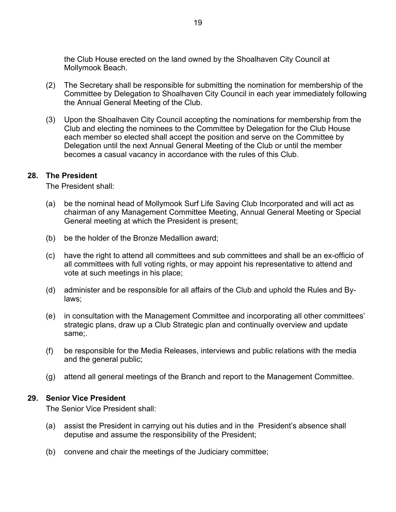<span id="page-22-0"></span>the Club House erected on the land owned by the Shoalhaven City Council at Mollymook Beach.

- (2) The Secretary shall be responsible for submitting the nomination for membership of the Committee by Delegation to Shoalhaven City Council in each year immediately following the Annual General Meeting of the Club.
- (3) Upon the Shoalhaven City Council accepting the nominations for membership from the Club and electing the nominees to the Committee by Delegation for the Club House each member so elected shall accept the position and serve on the Committee by Delegation until the next Annual General Meeting of the Club or until the member becomes a casual vacancy in accordance with the rules of this Club.

#### **28. The President**

The President shall:

- (a) be the nominal head of Mollymook Surf Life Saving Club Incorporated and will act as chairman of any Management Committee Meeting, Annual General Meeting or Special General meeting at which the President is present;
- (b) be the holder of the Bronze Medallion award;
- (c) have the right to attend all committees and sub committees and shall be an ex-officio of all committees with full voting rights, or may appoint his representative to attend and vote at such meetings in his place;
- (d) administer and be responsible for all affairs of the Club and uphold the Rules and Bylaws;
- (e) in consultation with the Management Committee and incorporating all other committees' strategic plans, draw up a Club Strategic plan and continually overview and update same;.
- (f) be responsible for the Media Releases, interviews and public relations with the media and the general public;
- (g) attend all general meetings of the Branch and report to the Management Committee.

#### **29. Senior Vice President**

The Senior Vice President shall:

- (a) assist the President in carrying out his duties and in the President's absence shall deputise and assume the responsibility of the President;
- (b) convene and chair the meetings of the Judiciary committee;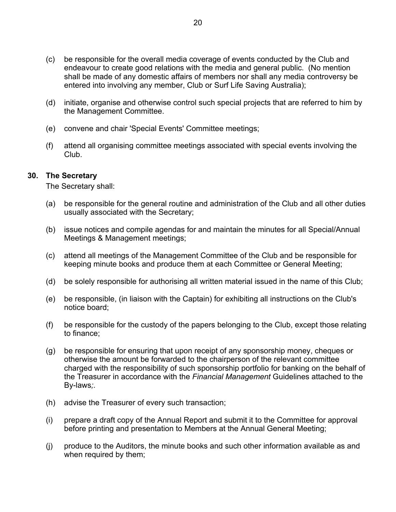- <span id="page-23-0"></span>(c) be responsible for the overall media coverage of events conducted by the Club and endeavour to create good relations with the media and general public. (No mention shall be made of any domestic affairs of members nor shall any media controversy be entered into involving any member, Club or Surf Life Saving Australia);
- (d) initiate, organise and otherwise control such special projects that are referred to him by the Management Committee.
- (e) convene and chair 'Special Events' Committee meetings;
- (f) attend all organising committee meetings associated with special events involving the Club.

## **30. The Secretary**

The Secretary shall:

- (a) be responsible for the general routine and administration of the Club and all other duties usually associated with the Secretary;
- (b) issue notices and compile agendas for and maintain the minutes for all Special/Annual Meetings & Management meetings;
- (c) attend all meetings of the Management Committee of the Club and be responsible for keeping minute books and produce them at each Committee or General Meeting;
- (d) be solely responsible for authorising all written material issued in the name of this Club;
- (e) be responsible, (in liaison with the Captain) for exhibiting all instructions on the Club's notice board;
- (f) be responsible for the custody of the papers belonging to the Club, except those relating to finance;
- (g) be responsible for ensuring that upon receipt of any sponsorship money, cheques or otherwise the amount be forwarded to the chairperson of the relevant committee charged with the responsibility of such sponsorship portfolio for banking on the behalf of the Treasurer in accordance with the *Financial Management* Guidelines attached to the By-laws*;.*
- (h) advise the Treasurer of every such transaction;
- (i) prepare a draft copy of the Annual Report and submit it to the Committee for approval before printing and presentation to Members at the Annual General Meeting;
- (j) produce to the Auditors, the minute books and such other information available as and when required by them;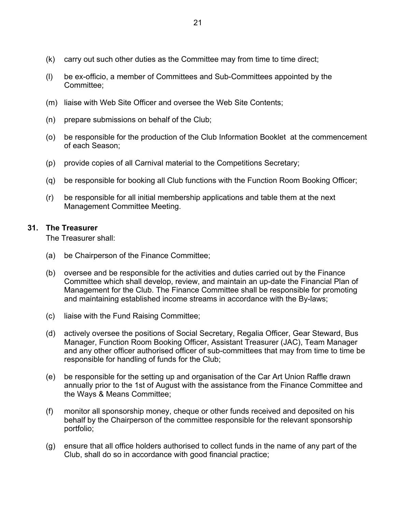- <span id="page-24-0"></span>(k) carry out such other duties as the Committee may from time to time direct;
- (l) be ex-officio, a member of Committees and Sub-Committees appointed by the Committee;
- (m) liaise with Web Site Officer and oversee the Web Site Contents;
- (n) prepare submissions on behalf of the Club;
- (o) be responsible for the production of the Club Information Booklet at the commencement of each Season;
- (p) provide copies of all Carnival material to the Competitions Secretary;
- (q) be responsible for booking all Club functions with the Function Room Booking Officer;
- (r) be responsible for all initial membership applications and table them at the next Management Committee Meeting.

## **31. The Treasurer**

The Treasurer shall:

- (a) be Chairperson of the Finance Committee;
- (b) oversee and be responsible for the activities and duties carried out by the Finance Committee which shall develop, review, and maintain an up-date the Financial Plan of Management for the Club. The Finance Committee shall be responsible for promoting and maintaining established income streams in accordance with the By-laws;
- (c) liaise with the Fund Raising Committee;
- (d) actively oversee the positions of Social Secretary, Regalia Officer, Gear Steward, Bus Manager, Function Room Booking Officer, Assistant Treasurer (JAC), Team Manager and any other officer authorised officer of sub-committees that may from time to time be responsible for handling of funds for the Club;
- (e) be responsible for the setting up and organisation of the Car Art Union Raffle drawn annually prior to the 1st of August with the assistance from the Finance Committee and the Ways & Means Committee;
- (f) monitor all sponsorship money, cheque or other funds received and deposited on his behalf by the Chairperson of the committee responsible for the relevant sponsorship portfolio;
- (g) ensure that all office holders authorised to collect funds in the name of any part of the Club, shall do so in accordance with good financial practice;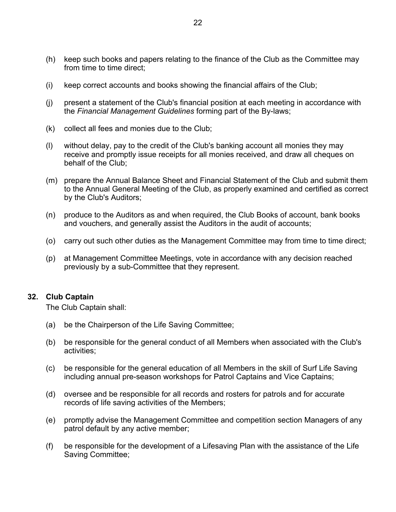- <span id="page-25-0"></span>(h) keep such books and papers relating to the finance of the Club as the Committee may from time to time direct;
- (i) keep correct accounts and books showing the financial affairs of the Club;
- (j) present a statement of the Club's financial position at each meeting in accordance with the *Financial Management Guidelines* forming part of the By-laws;
- (k) collect all fees and monies due to the Club;
- (l) without delay, pay to the credit of the Club's banking account all monies they may receive and promptly issue receipts for all monies received, and draw all cheques on behalf of the Club;
- (m) prepare the Annual Balance Sheet and Financial Statement of the Club and submit them to the Annual General Meeting of the Club, as properly examined and certified as correct by the Club's Auditors;
- (n) produce to the Auditors as and when required, the Club Books of account, bank books and vouchers, and generally assist the Auditors in the audit of accounts;
- (o) carry out such other duties as the Management Committee may from time to time direct;
- (p) at Management Committee Meetings, vote in accordance with any decision reached previously by a sub-Committee that they represent.

## **32. Club Captain**

The Club Captain shall:

- (a) be the Chairperson of the Life Saving Committee;
- (b) be responsible for the general conduct of all Members when associated with the Club's activities;
- (c) be responsible for the general education of all Members in the skill of Surf Life Saving including annual pre-season workshops for Patrol Captains and Vice Captains;
- (d) oversee and be responsible for all records and rosters for patrols and for accurate records of life saving activities of the Members;
- (e) promptly advise the Management Committee and competition section Managers of any patrol default by any active member;
- (f) be responsible for the development of a Lifesaving Plan with the assistance of the Life Saving Committee;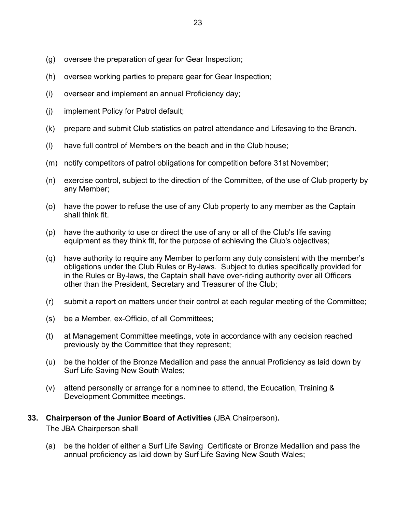- <span id="page-26-0"></span>(g) oversee the preparation of gear for Gear Inspection;
- (h) oversee working parties to prepare gear for Gear Inspection;
- (i) overseer and implement an annual Proficiency day;
- (j) implement Policy for Patrol default;
- (k) prepare and submit Club statistics on patrol attendance and Lifesaving to the Branch.
- (l) have full control of Members on the beach and in the Club house;
- (m) notify competitors of patrol obligations for competition before 31st November;
- (n) exercise control, subject to the direction of the Committee, of the use of Club property by any Member;
- (o) have the power to refuse the use of any Club property to any member as the Captain shall think fit.
- (p) have the authority to use or direct the use of any or all of the Club's life saving equipment as they think fit, for the purpose of achieving the Club's objectives;
- (q) have authority to require any Member to perform any duty consistent with the member's obligations under the Club Rules or By-laws. Subject to duties specifically provided for in the Rules or By-laws, the Captain shall have over-riding authority over all Officers other than the President, Secretary and Treasurer of the Club;
- (r) submit a report on matters under their control at each regular meeting of the Committee;
- (s) be a Member, ex-Officio, of all Committees;
- (t) at Management Committee meetings, vote in accordance with any decision reached previously by the Committee that they represent;
- (u) be the holder of the Bronze Medallion and pass the annual Proficiency as laid down by Surf Life Saving New South Wales;
- (v) attend personally or arrange for a nominee to attend, the Education, Training & Development Committee meetings.

## **33. Chairperson of the Junior Board of Activities** (JBA Chairperson)**.**

The JBA Chairperson shall

(a) be the holder of either a Surf Life Saving Certificate or Bronze Medallion and pass the annual proficiency as laid down by Surf Life Saving New South Wales;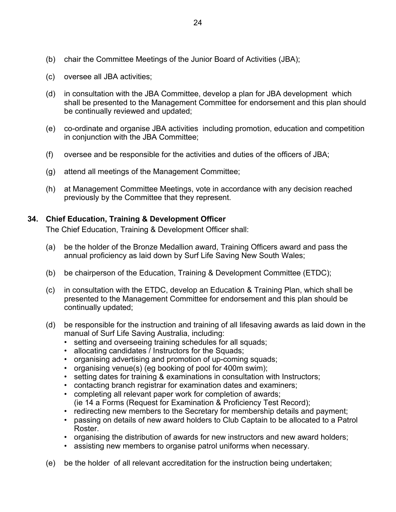- <span id="page-27-0"></span>(b) chair the Committee Meetings of the Junior Board of Activities (JBA);
- (c) oversee all JBA activities;
- (d) in consultation with the JBA Committee, develop a plan for JBA development which shall be presented to the Management Committee for endorsement and this plan should be continually reviewed and updated;
- (e) co-ordinate and organise JBA activities including promotion, education and competition in conjunction with the JBA Committee;
- (f) oversee and be responsible for the activities and duties of the officers of JBA;
- (g) attend all meetings of the Management Committee;
- (h) at Management Committee Meetings, vote in accordance with any decision reached previously by the Committee that they represent.

## **34. Chief Education, Training & Development Officer**

The Chief Education, Training & Development Officer shall:

- (a) be the holder of the Bronze Medallion award, Training Officers award and pass the annual proficiency as laid down by Surf Life Saving New South Wales;
- (b) be chairperson of the Education, Training & Development Committee (ETDC);
- (c) in consultation with the ETDC, develop an Education & Training Plan, which shall be presented to the Management Committee for endorsement and this plan should be continually updated;
- (d) be responsible for the instruction and training of all lifesaving awards as laid down in the manual of Surf Life Saving Australia, including:
	- setting and overseeing training schedules for all squads;
	- allocating candidates / Instructors for the Squads;
	- organising advertising and promotion of up-coming squads;
	- organising venue(s) (eg booking of pool for 400m swim);
	- setting dates for training & examinations in consultation with Instructors;
	- contacting branch registrar for examination dates and examiners;
	- completing all relevant paper work for completion of awards; (ie 14 a Forms (Request for Examination & Proficiency Test Record);
	- redirecting new members to the Secretary for membership details and payment;
	- passing on details of new award holders to Club Captain to be allocated to a Patrol Roster.
	- organising the distribution of awards for new instructors and new award holders;
	- assisting new members to organise patrol uniforms when necessary.
- (e) be the holder of all relevant accreditation for the instruction being undertaken;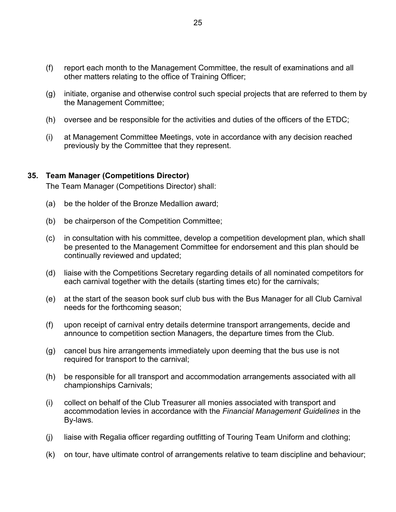- <span id="page-28-0"></span>(f) report each month to the Management Committee, the result of examinations and all other matters relating to the office of Training Officer;
- (g) initiate, organise and otherwise control such special projects that are referred to them by the Management Committee;
- (h) oversee and be responsible for the activities and duties of the officers of the ETDC;
- (i) at Management Committee Meetings, vote in accordance with any decision reached previously by the Committee that they represent.

#### **35. Team Manager (Competitions Director)**

The Team Manager (Competitions Director) shall:

- (a) be the holder of the Bronze Medallion award;
- (b) be chairperson of the Competition Committee;
- (c) in consultation with his committee, develop a competition development plan, which shall be presented to the Management Committee for endorsement and this plan should be continually reviewed and updated;
- (d) liaise with the Competitions Secretary regarding details of all nominated competitors for each carnival together with the details (starting times etc) for the carnivals;
- (e) at the start of the season book surf club bus with the Bus Manager for all Club Carnival needs for the forthcoming season;
- (f) upon receipt of carnival entry details determine transport arrangements, decide and announce to competition section Managers, the departure times from the Club.
- (g) cancel bus hire arrangements immediately upon deeming that the bus use is not required for transport to the carnival;
- (h) be responsible for all transport and accommodation arrangements associated with all championships Carnivals;
- (i) collect on behalf of the Club Treasurer all monies associated with transport and accommodation levies in accordance with the *Financial Management Guidelines* in the By-laws*.*
- (j) liaise with Regalia officer regarding outfitting of Touring Team Uniform and clothing;
- (k) on tour, have ultimate control of arrangements relative to team discipline and behaviour;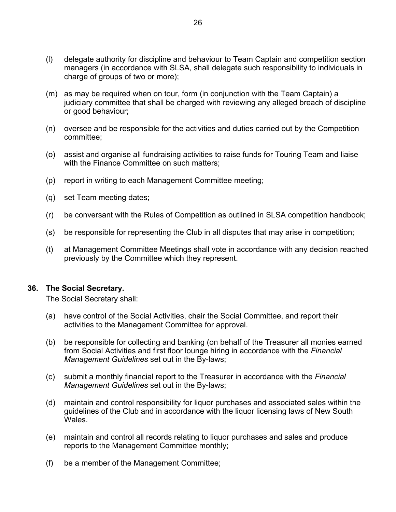- <span id="page-29-0"></span>(l) delegate authority for discipline and behaviour to Team Captain and competition section managers (in accordance with SLSA, shall delegate such responsibility to individuals in charge of groups of two or more);
- (m) as may be required when on tour, form (in conjunction with the Team Captain) a judiciary committee that shall be charged with reviewing any alleged breach of discipline or good behaviour;
- (n) oversee and be responsible for the activities and duties carried out by the Competition committee;
- (o) assist and organise all fundraising activities to raise funds for Touring Team and liaise with the Finance Committee on such matters:
- (p) report in writing to each Management Committee meeting;
- (q) set Team meeting dates;
- (r) be conversant with the Rules of Competition as outlined in SLSA competition handbook;
- (s) be responsible for representing the Club in all disputes that may arise in competition;
- (t) at Management Committee Meetings shall vote in accordance with any decision reached previously by the Committee which they represent.

#### **36. The Social Secretary.**

The Social Secretary shall:

- (a) have control of the Social Activities, chair the Social Committee, and report their activities to the Management Committee for approval.
- (b) be responsible for collecting and banking (on behalf of the Treasurer all monies earned from Social Activities and first floor lounge hiring in accordance with the *Financial Management Guidelines* set out in the By-laws;
- (c) submit a monthly financial report to the Treasurer in accordance with the *Financial Management Guidelines* set out in the By-laws;
- (d) maintain and control responsibility for liquor purchases and associated sales within the guidelines of the Club and in accordance with the liquor licensing laws of New South Wales.
- (e) maintain and control all records relating to liquor purchases and sales and produce reports to the Management Committee monthly;
- (f) be a member of the Management Committee;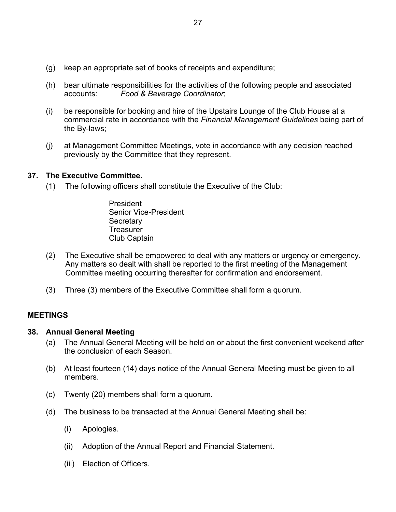- <span id="page-30-0"></span>(g) keep an appropriate set of books of receipts and expenditure;
- (h) bear ultimate responsibilities for the activities of the following people and associated accounts: *Food & Beverage Coordinator*;
- (i) be responsible for booking and hire of the Upstairs Lounge of the Club House at a commercial rate in accordance with the *Financial Management Guidelines* being part of the By-laws;
- (j) at Management Committee Meetings, vote in accordance with any decision reached previously by the Committee that they represent.

#### **37. The Executive Committee.**

(1) The following officers shall constitute the Executive of the Club:

 President Senior Vice-President **Secretary Treasurer** Club Captain

- (2) The Executive shall be empowered to deal with any matters or urgency or emergency. Any matters so dealt with shall be reported to the first meeting of the Management Committee meeting occurring thereafter for confirmation and endorsement.
- (3) Three (3) members of the Executive Committee shall form a quorum.

#### **MEETINGS**

#### **38. Annual General Meeting**

- (a) The Annual General Meeting will be held on or about the first convenient weekend after the conclusion of each Season.
- (b) At least fourteen (14) days notice of the Annual General Meeting must be given to all members.
- (c) Twenty (20) members shall form a quorum.
- (d) The business to be transacted at the Annual General Meeting shall be:
	- (i) Apologies.
	- (ii) Adoption of the Annual Report and Financial Statement.
	- (iii) Election of Officers.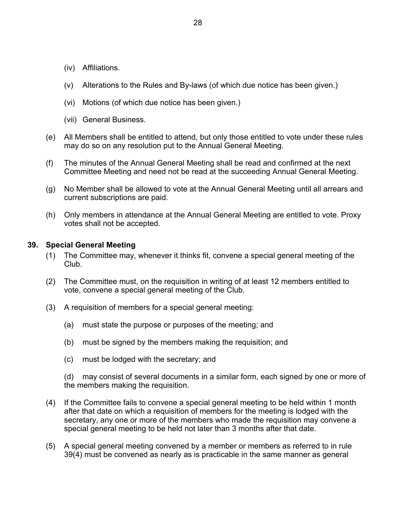- <span id="page-31-0"></span>(iv) Affiliations.
- (v) Alterations to the Rules and By-laws (of which due notice has been given.)
- (vi) Motions (of which due notice has been given.)
- (vii) General Business.
- (e) All Members shall be entitled to attend, but only those entitled to vote under these rules may do so on any resolution put to the Annual General Meeting.
- (f) The minutes of the Annual General Meeting shall be read and confirmed at the next Committee Meeting and need not be read at the succeeding Annual General Meeting.
- (g) No Member shall be allowed to vote at the Annual General Meeting until all arrears and current subscriptions are paid.
- (h) Only members in attendance at the Annual General Meeting are entitled to vote. Proxy votes shall not be accepted.

## **39. Special General Meeting**

- (1) The Committee may, whenever it thinks fit, convene a special general meeting of the Club.
- (2) The Committee must, on the requisition in writing of at least 12 members entitled to vote, convene a special general meeting of the Club.
- (3) A requisition of members for a special general meeting:
	- (a) must state the purpose or purposes of the meeting; and
	- (b) must be signed by the members making the requisition; and
	- (c) must be lodged with the secretary; and

(d) may consist of several documents in a similar form, each signed by one or more of the members making the requisition.

- (4) If the Committee fails to convene a special general meeting to be held within 1 month after that date on which a requisition of members for the meeting is lodged with the secretary, any one or more of the members who made the requisition may convene a special general meeting to be held not later than 3 months after that date.
- (5) A special general meeting convened by a member or members as referred to in rule 39(4) must be convened as nearly as is practicable in the same manner as general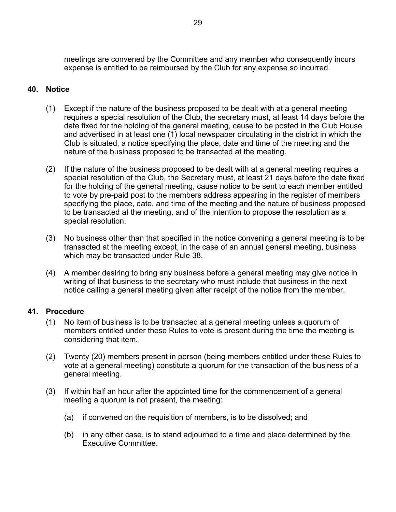<span id="page-32-0"></span>meetings are convened by the Committee and any member who consequently incurs expense is entitled to be reimbursed by the Club for any expense so incurred.

## **40. Notice**

- (1) Except if the nature of the business proposed to be dealt with at a general meeting requires a special resolution of the Club, the secretary must, at least 14 days before the date fixed for the holding of the general meeting, cause to be posted in the Club House and advertised in at least one (1) local newspaper circulating in the district in which the Club is situated, a notice specifying the place, date and time of the meeting and the nature of the business proposed to be transacted at the meeting.
- (2) If the nature of the business proposed to be dealt with at a general meeting requires a special resolution of the Club, the Secretary must, at least 21 days before the date fixed for the holding of the general meeting, cause notice to be sent to each member entitled to vote by pre-paid post to the members address appearing in the register of members specifying the place, date, and time of the meeting and the nature of business proposed to be transacted at the meeting, and of the intention to propose the resolution as a special resolution.
- (3) No business other than that specified in the notice convening a general meeting is to be transacted at the meeting except, in the case of an annual general meeting, business which may be transacted under Rule 38.
- (4) A member desiring to bring any business before a general meeting may give notice in writing of that business to the secretary who must include that business in the next notice calling a general meeting given after receipt of the notice from the member.

## **41. Procedure**

- (1) No item of business is to be transacted at a general meeting unless a quorum of members entitled under these Rules to vote is present during the time the meeting is considering that item.
- (2) Twenty (20) members present in person (being members entitled under these Rules to vote at a general meeting) constitute a quorum for the transaction of the business of a general meeting.
- (3) If within half an hour after the appointed time for the commencement of a general meeting a quorum is not present, the meeting:
	- (a) if convened on the requisition of members, is to be dissolved; and
	- (b) in any other case, is to stand adjourned to a time and place determined by the Executive Committee.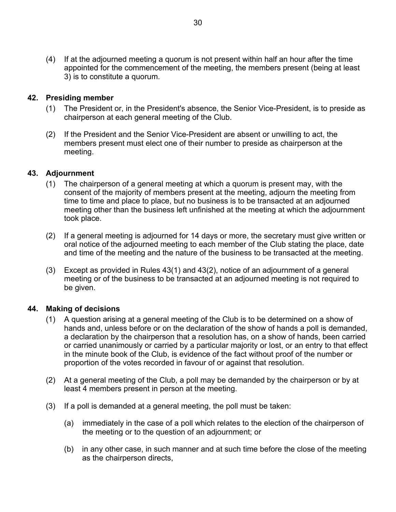<span id="page-33-0"></span>(4) If at the adjourned meeting a quorum is not present within half an hour after the time appointed for the commencement of the meeting, the members present (being at least 3) is to constitute a quorum.

## **42. Presiding member**

- (1) The President or, in the President's absence, the Senior Vice-President, is to preside as chairperson at each general meeting of the Club.
- (2) If the President and the Senior Vice-President are absent or unwilling to act, the members present must elect one of their number to preside as chairperson at the meeting.

## **43. Adjournment**

- (1) The chairperson of a general meeting at which a quorum is present may, with the consent of the majority of members present at the meeting, adjourn the meeting from time to time and place to place, but no business is to be transacted at an adjourned meeting other than the business left unfinished at the meeting at which the adjournment took place.
- (2) If a general meeting is adjourned for 14 days or more, the secretary must give written or oral notice of the adjourned meeting to each member of the Club stating the place, date and time of the meeting and the nature of the business to be transacted at the meeting.
- (3) Except as provided in Rules 43(1) and 43(2), notice of an adjournment of a general meeting or of the business to be transacted at an adjourned meeting is not required to be given.

## **44. Making of decisions**

- (1) A question arising at a general meeting of the Club is to be determined on a show of hands and, unless before or on the declaration of the show of hands a poll is demanded, a declaration by the chairperson that a resolution has, on a show of hands, been carried or carried unanimously or carried by a particular majority or lost, or an entry to that effect in the minute book of the Club, is evidence of the fact without proof of the number or proportion of the votes recorded in favour of or against that resolution.
- (2) At a general meeting of the Club, a poll may be demanded by the chairperson or by at least 4 members present in person at the meeting.
- (3) If a poll is demanded at a general meeting, the poll must be taken:
	- (a) immediately in the case of a poll which relates to the election of the chairperson of the meeting or to the question of an adjournment; or
	- (b) in any other case, in such manner and at such time before the close of the meeting as the chairperson directs,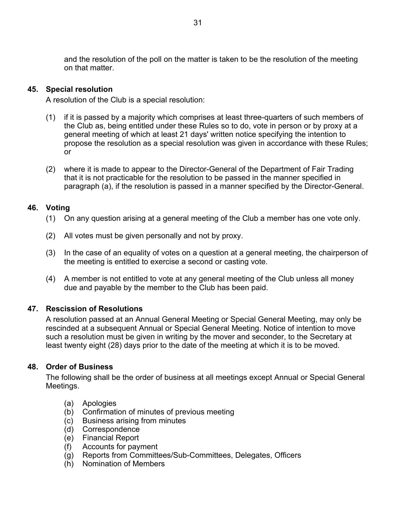<span id="page-34-0"></span>and the resolution of the poll on the matter is taken to be the resolution of the meeting on that matter.

## **45. Special resolution**

A resolution of the Club is a special resolution:

- (1) if it is passed by a majority which comprises at least three-quarters of such members of the Club as, being entitled under these Rules so to do, vote in person or by proxy at a general meeting of which at least 21 days' written notice specifying the intention to propose the resolution as a special resolution was given in accordance with these Rules; or
- (2) where it is made to appear to the Director-General of the Department of Fair Trading that it is not practicable for the resolution to be passed in the manner specified in paragraph (a), if the resolution is passed in a manner specified by the Director-General.

## **46. Voting**

- (1) On any question arising at a general meeting of the Club a member has one vote only.
- (2) All votes must be given personally and not by proxy.
- (3) In the case of an equality of votes on a question at a general meeting, the chairperson of the meeting is entitled to exercise a second or casting vote.
- (4) A member is not entitled to vote at any general meeting of the Club unless all money due and payable by the member to the Club has been paid.

## **47. Rescission of Resolutions**

A resolution passed at an Annual General Meeting or Special General Meeting, may only be rescinded at a subsequent Annual or Special General Meeting. Notice of intention to move such a resolution must be given in writing by the mover and seconder, to the Secretary at least twenty eight (28) days prior to the date of the meeting at which it is to be moved.

## **48. Order of Business**

The following shall be the order of business at all meetings except Annual or Special General Meetings.

- (a) Apologies
- (b) Confirmation of minutes of previous meeting
- (c) Business arising from minutes
- (d) Correspondence
- (e) Financial Report
- (f) Accounts for payment
- (g) Reports from Committees/Sub-Committees, Delegates, Officers
- (h) Nomination of Members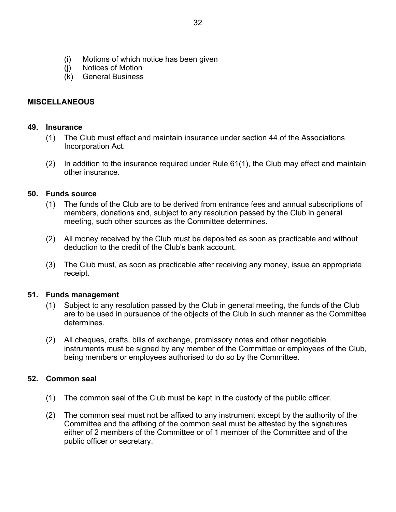- <span id="page-35-0"></span>(i) Motions of which notice has been given
- (j) Notices of Motion
- (k) General Business

## **MISCELLANEOUS**

## **49. Insurance**

- (1) The Club must effect and maintain insurance under section 44 of the Associations Incorporation Act.
- (2) In addition to the insurance required under Rule 61(1), the Club may effect and maintain other insurance.

## **50. Funds source**

- (1) The funds of the Club are to be derived from entrance fees and annual subscriptions of members, donations and, subject to any resolution passed by the Club in general meeting, such other sources as the Committee determines.
- (2) All money received by the Club must be deposited as soon as practicable and without deduction to the credit of the Club's bank account.
- (3) The Club must, as soon as practicable after receiving any money, issue an appropriate receipt.

## **51. Funds management**

- (1) Subject to any resolution passed by the Club in general meeting, the funds of the Club are to be used in pursuance of the objects of the Club in such manner as the Committee determines.
- (2) All cheques, drafts, bills of exchange, promissory notes and other negotiable instruments must be signed by any member of the Committee or employees of the Club, being members or employees authorised to do so by the Committee.

## **52. Common seal**

- (1) The common seal of the Club must be kept in the custody of the public officer.
- (2) The common seal must not be affixed to any instrument except by the authority of the Committee and the affixing of the common seal must be attested by the signatures either of 2 members of the Committee or of 1 member of the Committee and of the public officer or secretary.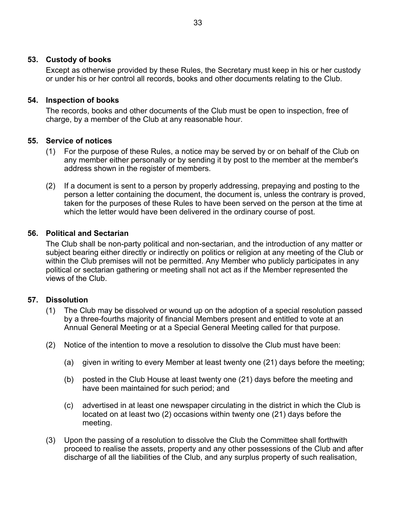## <span id="page-36-0"></span>**53. Custody of books**

Except as otherwise provided by these Rules, the Secretary must keep in his or her custody or under his or her control all records, books and other documents relating to the Club.

## **54. Inspection of books**

The records, books and other documents of the Club must be open to inspection, free of charge, by a member of the Club at any reasonable hour.

## **55. Service of notices**

- (1) For the purpose of these Rules, a notice may be served by or on behalf of the Club on any member either personally or by sending it by post to the member at the member's address shown in the register of members.
- (2) If a document is sent to a person by properly addressing, prepaying and posting to the person a letter containing the document, the document is, unless the contrary is proved, taken for the purposes of these Rules to have been served on the person at the time at which the letter would have been delivered in the ordinary course of post.

## **56. Political and Sectarian**

The Club shall be non-party political and non-sectarian, and the introduction of any matter or subject bearing either directly or indirectly on politics or religion at any meeting of the Club or within the Club premises will not be permitted. Any Member who publicly participates in any political or sectarian gathering or meeting shall not act as if the Member represented the views of the Club.

## **57. Dissolution**

- (1) The Club may be dissolved or wound up on the adoption of a special resolution passed by a three-fourths majority of financial Members present and entitled to vote at an Annual General Meeting or at a Special General Meeting called for that purpose.
- (2) Notice of the intention to move a resolution to dissolve the Club must have been:
	- (a) given in writing to every Member at least twenty one (21) days before the meeting;
	- (b) posted in the Club House at least twenty one (21) days before the meeting and have been maintained for such period; and
	- (c) advertised in at least one newspaper circulating in the district in which the Club is located on at least two (2) occasions within twenty one (21) days before the meeting.
- (3) Upon the passing of a resolution to dissolve the Club the Committee shall forthwith proceed to realise the assets, property and any other possessions of the Club and after discharge of all the liabilities of the Club, and any surplus property of such realisation,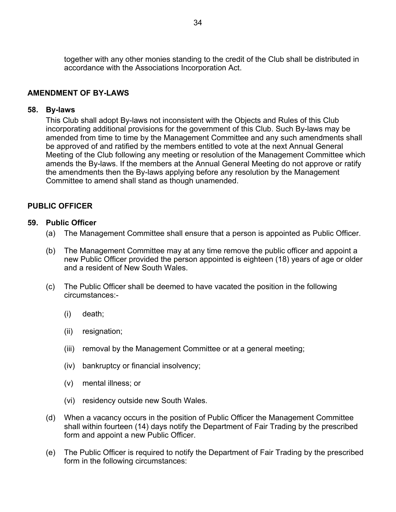<span id="page-37-0"></span>together with any other monies standing to the credit of the Club shall be distributed in accordance with the Associations Incorporation Act.

## **AMENDMENT OF BY-LAWS**

## **58. By-laws**

This Club shall adopt By-laws not inconsistent with the Objects and Rules of this Club incorporating additional provisions for the government of this Club. Such By-laws may be amended from time to time by the Management Committee and any such amendments shall be approved of and ratified by the members entitled to vote at the next Annual General Meeting of the Club following any meeting or resolution of the Management Committee which amends the By-laws. If the members at the Annual General Meeting do not approve or ratify the amendments then the By-laws applying before any resolution by the Management Committee to amend shall stand as though unamended.

## **PUBLIC OFFICER**

## **59. Public Officer**

- (a) The Management Committee shall ensure that a person is appointed as Public Officer.
- (b) The Management Committee may at any time remove the public officer and appoint a new Public Officer provided the person appointed is eighteen (18) years of age or older and a resident of New South Wales.
- (c) The Public Officer shall be deemed to have vacated the position in the following circumstances:-
	- (i) death;
	- (ii) resignation;
	- (iii) removal by the Management Committee or at a general meeting;
	- (iv) bankruptcy or financial insolvency;
	- (v) mental illness; or
	- (vi) residency outside new South Wales.
- (d) When a vacancy occurs in the position of Public Officer the Management Committee shall within fourteen (14) days notify the Department of Fair Trading by the prescribed form and appoint a new Public Officer.
- (e) The Public Officer is required to notify the Department of Fair Trading by the prescribed form in the following circumstances: